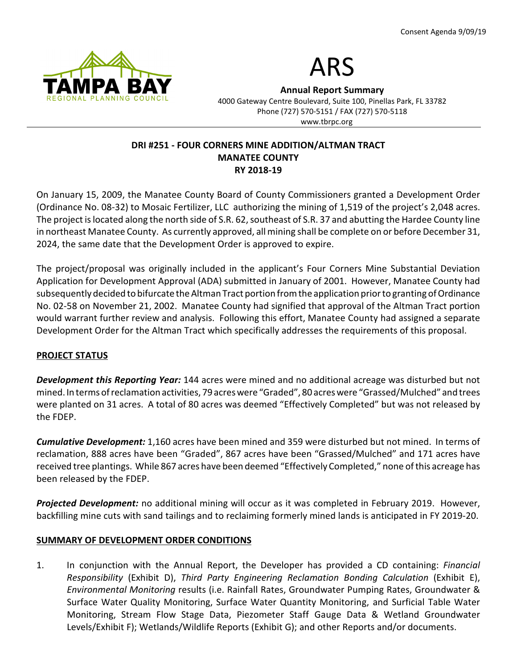



Annual Report Summary

4000 Gateway Centre Boulevard, Suite 100, Pinellas Park, FL 33782 Phone (727) 570-5151 / FAX (727) 570-5118 www.tbrpc.org

### DRI #251 - FOUR CORNERS MINE ADDITION/ALTMAN TRACT MANATEE COUNTY RY 2018-19

On January 15, 2009, the Manatee County Board of County Commissioners granted a Development Order (Ordinance No. 08-32) to Mosaic Fertilizer, LLC authorizing the mining of 1,519 of the project's 2,048 acres. The project is located along the north side of S.R. 62, southeast of S.R. 37 and abutting the Hardee County line in northeast Manatee County. As currently approved, all mining shall be complete on or before December 31, 2024, the same date that the Development Order is approved to expire.

The project/proposal was originally included in the applicant's Four Corners Mine Substantial Deviation Application for Development Approval (ADA) submitted in January of 2001. However, Manatee County had subsequently decided to bifurcate the Altman Tract portion from the application prior to granting of Ordinance No. 02-58 on November 21, 2002. Manatee County had signified that approval of the Altman Tract portion would warrant further review and analysis. Following this effort, Manatee County had assigned a separate Development Order for the Altman Tract which specifically addresses the requirements of this proposal.

# PROJECT STATUS

Development this Reporting Year: 144 acres were mined and no additional acreage was disturbed but not mined. In terms of reclamation activities, 79 acres were "Graded", 80 acres were "Grassed/Mulched" and trees were planted on 31 acres. A total of 80 acres was deemed "Effectively Completed" but was not released by the FDEP.

Cumulative Development: 1,160 acres have been mined and 359 were disturbed but not mined. In terms of reclamation, 888 acres have been "Graded", 867 acres have been "Grassed/Mulched" and 171 acres have received tree plantings. While 867 acres have been deemed "Effectively Completed," none of this acreage has been released by the FDEP.

Projected Development: no additional mining will occur as it was completed in February 2019. However, backfilling mine cuts with sand tailings and to reclaiming formerly mined lands is anticipated in FY 2019-20.

# SUMMARY OF DEVELOPMENT ORDER CONDITIONS

1. In conjunction with the Annual Report, the Developer has provided a CD containing: Financial Responsibility (Exhibit D), Third Party Engineering Reclamation Bonding Calculation (Exhibit E), Environmental Monitoring results (i.e. Rainfall Rates, Groundwater Pumping Rates, Groundwater & Surface Water Quality Monitoring, Surface Water Quantity Monitoring, and Surficial Table Water Monitoring, Stream Flow Stage Data, Piezometer Staff Gauge Data & Wetland Groundwater Levels/Exhibit F); Wetlands/Wildlife Reports (Exhibit G); and other Reports and/or documents.